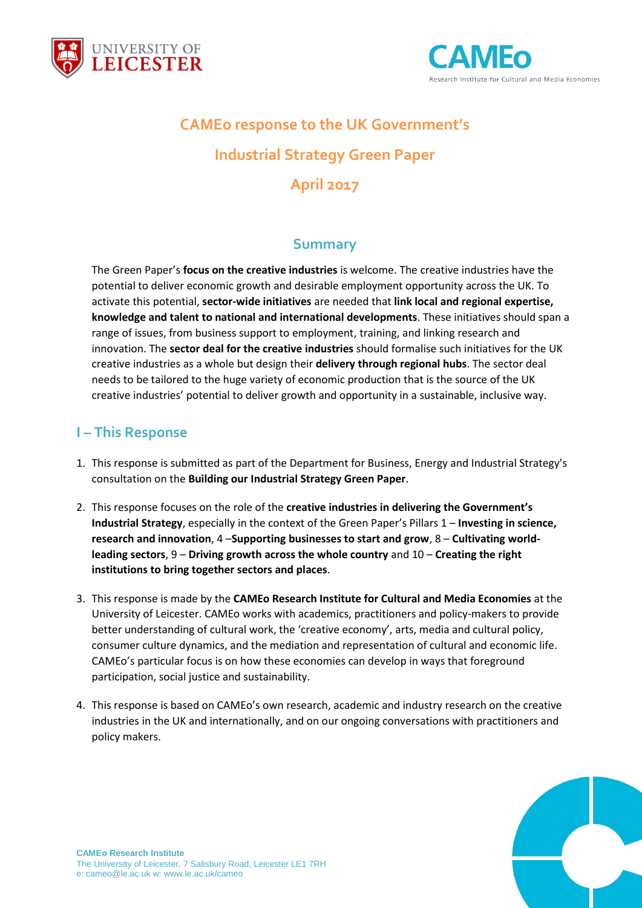



# **CAMEo response to the UK Government's Industrial Strategy Green Paper April 2017**

#### **Summary**

The Green Paper's **focus on the creative industries** is welcome. The creative industries have the potential to deliver economic growth and desirable employment opportunity across the UK. To activate this potential, **sector-wide initiatives** are needed that **link local and regional expertise, knowledge and talent to national and international developments**. These initiatives should span a range of issues, from business support to employment, training, and linking research and innovation. The **sector deal for the creative industries** should formalise such initiatives for the UK creative industries as a whole but design their **delivery through regional hubs**. The sector deal needs to be tailored to the huge variety of economic production that is the source of the UK creative industries' potential to deliver growth and opportunity in a sustainable, inclusive way.

#### **I – This Response**

- 1. This response is submitted as part of the Department for Business, Energy and Industrial Strategy's consultation on the **Building our Industrial Strategy Green Paper**.
- 2. This response focuses on the role of the **creative industries in delivering the Government's Industrial Strategy**, especially in the context of the Green Paper's Pillars 1 – **Investing in science, research and innovation**, 4 –**Supporting businesses to start and grow**, 8 – **Cultivating worldleading sectors**, 9 – **Driving growth across the whole country** and 10 – **Creating the right institutions to bring together sectors and places**.
- 3. This response is made by the **CAMEo Research Institute for Cultural and Media Economies** at the University of Leicester. CAMEo works with academics, practitioners and policy-makers to provide better understanding of cultural work, the 'creative economy', arts, media and cultural policy, consumer culture dynamics, and the mediation and representation of cultural and economic life. CAMEo's particular focus is on how these economies can develop in ways that foreground participation, social justice and sustainability.
- 4. This response is based on CAMEo's own research, academic and industry research on the creative industries in the UK and internationally, and on our ongoing conversations with practitioners and policy makers.

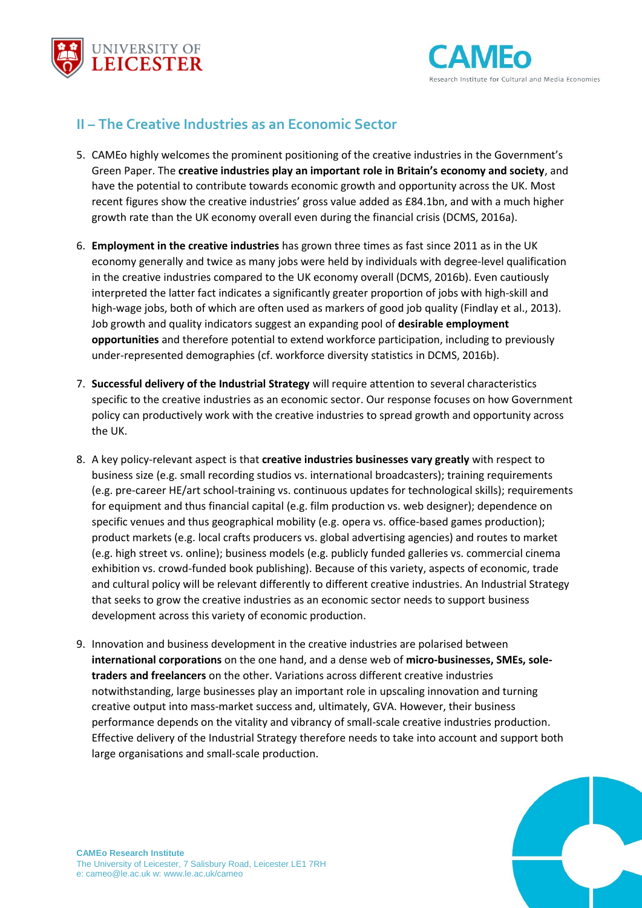



## **II – The Creative Industries as an Economic Sector**

- 5. CAMEo highly welcomes the prominent positioning of the creative industries in the Government's Green Paper. The **creative industries play an important role in Britain's economy and society**, and have the potential to contribute towards economic growth and opportunity across the UK. Most recent figures show the creative industries' gross value added as £84.1bn, and with a much higher growth rate than the UK economy overall even during the financial crisis (DCMS, 2016a).
- 6. **Employment in the creative industries** has grown three times as fast since 2011 as in the UK economy generally and twice as many jobs were held by individuals with degree-level qualification in the creative industries compared to the UK economy overall (DCMS, 2016b). Even cautiously interpreted the latter fact indicates a significantly greater proportion of jobs with high-skill and high-wage jobs, both of which are often used as markers of good job quality (Findlay et al., 2013). Job growth and quality indicators suggest an expanding pool of **desirable employment opportunities** and therefore potential to extend workforce participation, including to previously under-represented demographies (cf. workforce diversity statistics in DCMS, 2016b).
- 7. **Successful delivery of the Industrial Strategy** will require attention to several characteristics specific to the creative industries as an economic sector. Our response focuses on how Government policy can productively work with the creative industries to spread growth and opportunity across the UK.
- 8. A key policy-relevant aspect is that **creative industries businesses vary greatly** with respect to business size (e.g. small recording studios vs. international broadcasters); training requirements (e.g. pre-career HE/art school-training vs. continuous updates for technological skills); requirements for equipment and thus financial capital (e.g. film production vs. web designer); dependence on specific venues and thus geographical mobility (e.g. opera vs. office-based games production); product markets (e.g. local crafts producers vs. global advertising agencies) and routes to market (e.g. high street vs. online); business models (e.g. publicly funded galleries vs. commercial cinema exhibition vs. crowd-funded book publishing). Because of this variety, aspects of economic, trade and cultural policy will be relevant differently to different creative industries. An Industrial Strategy that seeks to grow the creative industries as an economic sector needs to support business development across this variety of economic production.
- 9. Innovation and business development in the creative industries are polarised between **international corporations** on the one hand, and a dense web of **micro-businesses, SMEs, soletraders and freelancers** on the other. Variations across different creative industries notwithstanding, large businesses play an important role in upscaling innovation and turning creative output into mass-market success and, ultimately, GVA. However, their business performance depends on the vitality and vibrancy of small-scale creative industries production. Effective delivery of the Industrial Strategy therefore needs to take into account and support both large organisations and small-scale production.

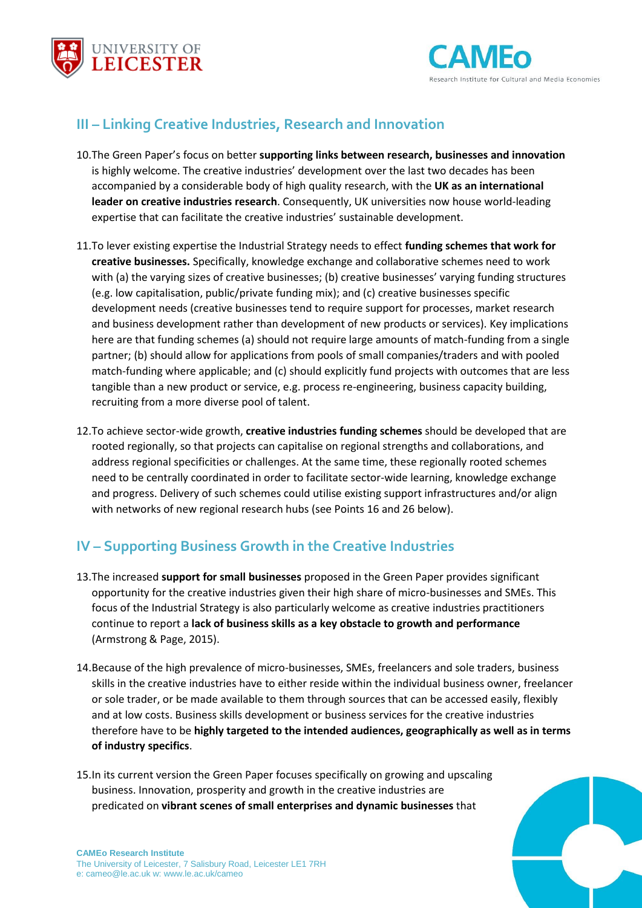



## **III – Linking Creative Industries, Research and Innovation**

- 10.The Green Paper's focus on better **supporting links between research, businesses and innovation** is highly welcome. The creative industries' development over the last two decades has been accompanied by a considerable body of high quality research, with the **UK as an international leader on creative industries research**. Consequently, UK universities now house world-leading expertise that can facilitate the creative industries' sustainable development.
- 11.To lever existing expertise the Industrial Strategy needs to effect **funding schemes that work for creative businesses.** Specifically, knowledge exchange and collaborative schemes need to work with (a) the varying sizes of creative businesses; (b) creative businesses' varying funding structures (e.g. low capitalisation, public/private funding mix); and (c) creative businesses specific development needs (creative businesses tend to require support for processes, market research and business development rather than development of new products or services). Key implications here are that funding schemes (a) should not require large amounts of match-funding from a single partner; (b) should allow for applications from pools of small companies/traders and with pooled match-funding where applicable; and (c) should explicitly fund projects with outcomes that are less tangible than a new product or service, e.g. process re-engineering, business capacity building, recruiting from a more diverse pool of talent.
- 12.To achieve sector-wide growth, **creative industries funding schemes** should be developed that are rooted regionally, so that projects can capitalise on regional strengths and collaborations, and address regional specificities or challenges. At the same time, these regionally rooted schemes need to be centrally coordinated in order to facilitate sector-wide learning, knowledge exchange and progress. Delivery of such schemes could utilise existing support infrastructures and/or align with networks of new regional research hubs (see Points 16 and 26 below).

#### **IV – Supporting Business Growth in the Creative Industries**

- 13.The increased **support for small businesses** proposed in the Green Paper provides significant opportunity for the creative industries given their high share of micro-businesses and SMEs. This focus of the Industrial Strategy is also particularly welcome as creative industries practitioners continue to report a **lack of business skills as a key obstacle to growth and performance** (Armstrong & Page, 2015).
- 14.Because of the high prevalence of micro-businesses, SMEs, freelancers and sole traders, business skills in the creative industries have to either reside within the individual business owner, freelancer or sole trader, or be made available to them through sources that can be accessed easily, flexibly and at low costs. Business skills development or business services for the creative industries therefore have to be **highly targeted to the intended audiences, geographically as well as in terms of industry specifics**.
- 15.In its current version the Green Paper focuses specifically on growing and upscaling business. Innovation, prosperity and growth in the creative industries are predicated on **vibrant scenes of small enterprises and dynamic businesses** that

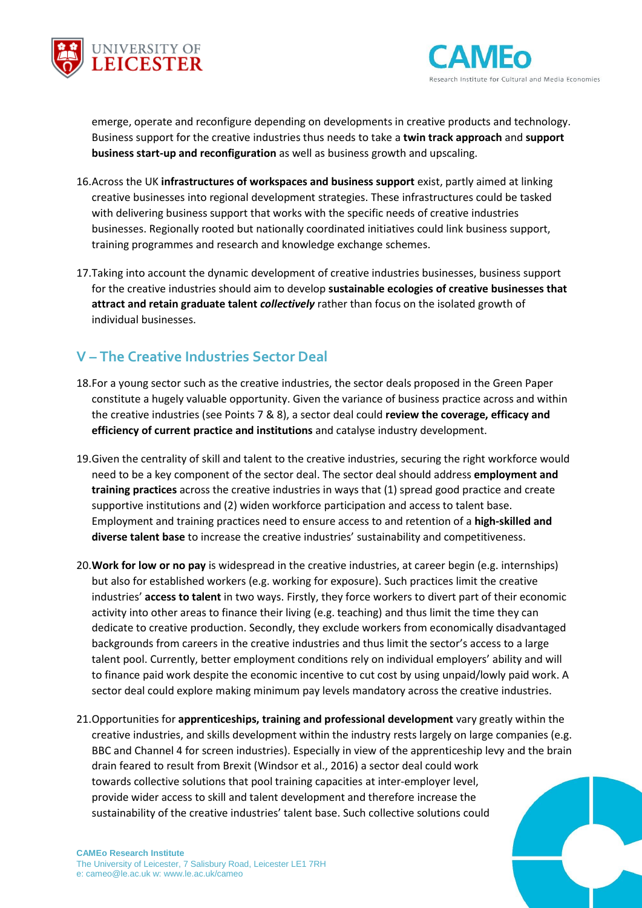



emerge, operate and reconfigure depending on developments in creative products and technology. Business support for the creative industries thus needs to take a **twin track approach** and **support business start-up and reconfiguration** as well as business growth and upscaling.

- 16.Across the UK **infrastructures of workspaces and business support** exist, partly aimed at linking creative businesses into regional development strategies. These infrastructures could be tasked with delivering business support that works with the specific needs of creative industries businesses. Regionally rooted but nationally coordinated initiatives could link business support, training programmes and research and knowledge exchange schemes.
- 17.Taking into account the dynamic development of creative industries businesses, business support for the creative industries should aim to develop **sustainable ecologies of creative businesses that attract and retain graduate talent** *collectively* rather than focus on the isolated growth of individual businesses.

## **V – The Creative Industries Sector Deal**

- 18.For a young sector such as the creative industries, the sector deals proposed in the Green Paper constitute a hugely valuable opportunity. Given the variance of business practice across and within the creative industries (see Points 7 & 8), a sector deal could **review the coverage, efficacy and efficiency of current practice and institutions** and catalyse industry development.
- 19.Given the centrality of skill and talent to the creative industries, securing the right workforce would need to be a key component of the sector deal. The sector deal should address **employment and training practices** across the creative industries in ways that (1) spread good practice and create supportive institutions and (2) widen workforce participation and access to talent base. Employment and training practices need to ensure access to and retention of a **high-skilled and diverse talent base** to increase the creative industries' sustainability and competitiveness.
- 20.**Work for low or no pay** is widespread in the creative industries, at career begin (e.g. internships) but also for established workers (e.g. working for exposure). Such practices limit the creative industries' **access to talent** in two ways. Firstly, they force workers to divert part of their economic activity into other areas to finance their living (e.g. teaching) and thus limit the time they can dedicate to creative production. Secondly, they exclude workers from economically disadvantaged backgrounds from careers in the creative industries and thus limit the sector's access to a large talent pool. Currently, better employment conditions rely on individual employers' ability and will to finance paid work despite the economic incentive to cut cost by using unpaid/lowly paid work. A sector deal could explore making minimum pay levels mandatory across the creative industries.
- 21.Opportunities for **apprenticeships, training and professional development** vary greatly within the creative industries, and skills development within the industry rests largely on large companies (e.g. BBC and Channel 4 for screen industries). Especially in view of the apprenticeship levy and the brain drain feared to result from Brexit (Windsor et al., 2016) a sector deal could work towards collective solutions that pool training capacities at inter-employer level, provide wider access to skill and talent development and therefore increase the sustainability of the creative industries' talent base. Such collective solutions could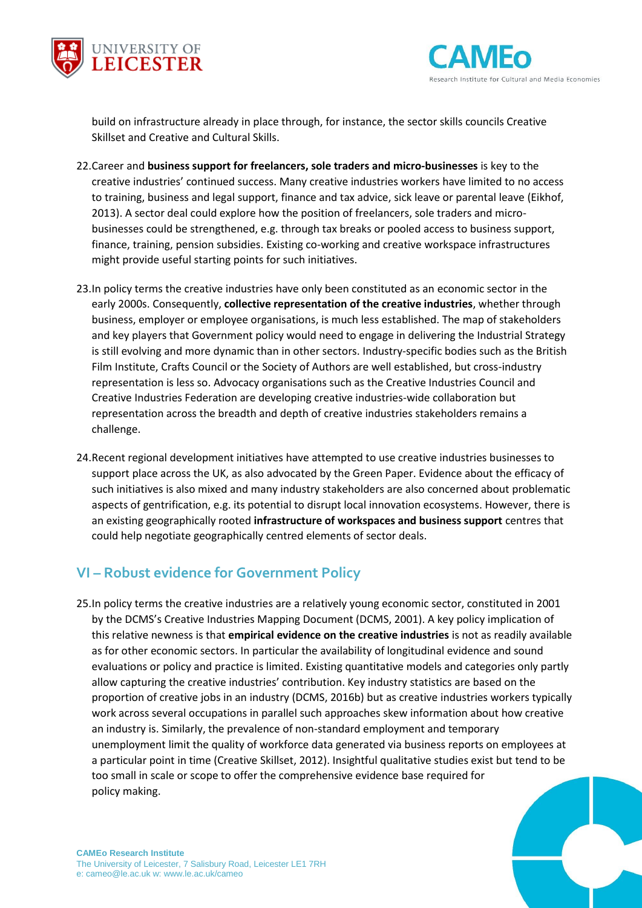



build on infrastructure already in place through, for instance, the sector skills councils Creative Skillset and Creative and Cultural Skills.

- 22.Career and **business support for freelancers, sole traders and micro-businesses** is key to the creative industries' continued success. Many creative industries workers have limited to no access to training, business and legal support, finance and tax advice, sick leave or parental leave (Eikhof, 2013). A sector deal could explore how the position of freelancers, sole traders and microbusinesses could be strengthened, e.g. through tax breaks or pooled access to business support, finance, training, pension subsidies. Existing co-working and creative workspace infrastructures might provide useful starting points for such initiatives.
- 23.In policy terms the creative industries have only been constituted as an economic sector in the early 2000s. Consequently, **collective representation of the creative industries**, whether through business, employer or employee organisations, is much less established. The map of stakeholders and key players that Government policy would need to engage in delivering the Industrial Strategy is still evolving and more dynamic than in other sectors. Industry-specific bodies such as the British Film Institute, Crafts Council or the Society of Authors are well established, but cross-industry representation is less so. Advocacy organisations such as the Creative Industries Council and Creative Industries Federation are developing creative industries-wide collaboration but representation across the breadth and depth of creative industries stakeholders remains a challenge.
- 24.Recent regional development initiatives have attempted to use creative industries businesses to support place across the UK, as also advocated by the Green Paper. Evidence about the efficacy of such initiatives is also mixed and many industry stakeholders are also concerned about problematic aspects of gentrification, e.g. its potential to disrupt local innovation ecosystems. However, there is an existing geographically rooted **infrastructure of workspaces and business support** centres that could help negotiate geographically centred elements of sector deals.

#### **VI – Robust evidence for Government Policy**

25.In policy terms the creative industries are a relatively young economic sector, constituted in 2001 by the DCMS's Creative Industries Mapping Document (DCMS, 2001). A key policy implication of this relative newness is that **empirical evidence on the creative industries** is not as readily available as for other economic sectors. In particular the availability of longitudinal evidence and sound evaluations or policy and practice is limited. Existing quantitative models and categories only partly allow capturing the creative industries' contribution. Key industry statistics are based on the proportion of creative jobs in an industry (DCMS, 2016b) but as creative industries workers typically work across several occupations in parallel such approaches skew information about how creative an industry is. Similarly, the prevalence of non-standard employment and temporary unemployment limit the quality of workforce data generated via business reports on employees at a particular point in time (Creative Skillset, 2012). Insightful qualitative studies exist but tend to be too small in scale or scope to offer the comprehensive evidence base required for policy making.